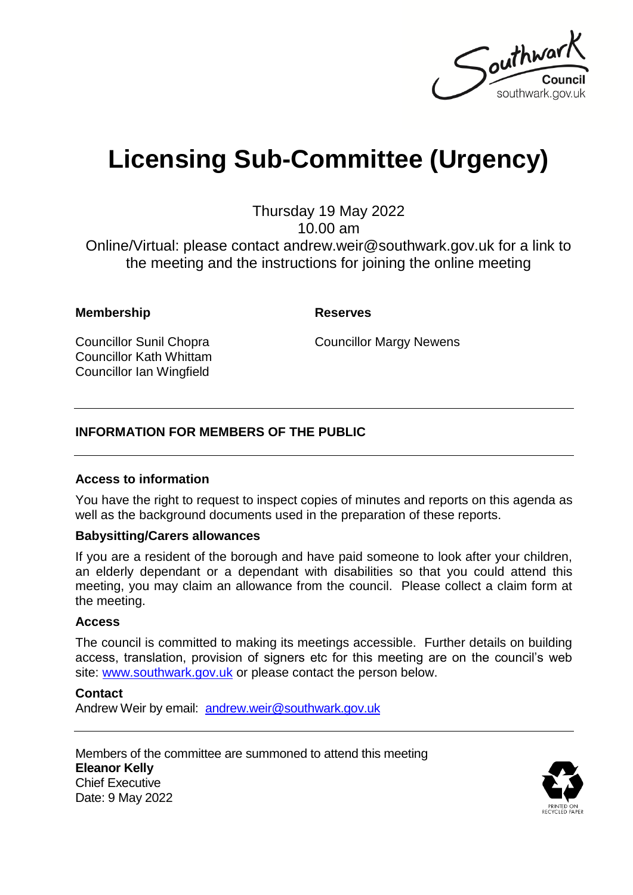

# **Licensing Sub-Committee (Urgency)**

Thursday 19 May 2022 10.00 am Online/Virtual: please contact andrew.weir@southwark.gov.uk for a link to the meeting and the instructions for joining the online meeting

#### **Membership Reserves**

Councillor Sunil Chopra Councillor Kath Whittam Councillor Ian Wingfield

Councillor Margy Newens

#### **INFORMATION FOR MEMBERS OF THE PUBLIC**

#### **Access to information**

You have the right to request to inspect copies of minutes and reports on this agenda as well as the background documents used in the preparation of these reports.

#### **Babysitting/Carers allowances**

If you are a resident of the borough and have paid someone to look after your children, an elderly dependant or a dependant with disabilities so that you could attend this meeting, you may claim an allowance from the council. Please collect a claim form at the meeting.

#### **Access**

The council is committed to making its meetings accessible. Further details on building access, translation, provision of signers etc for this meeting are on the council's web site: [www.southwark.gov.uk](http://www.southwark.gov.uk/Public/Home.aspx) or please contact the person below.

**Contact**

Andrew Weir by email: [andrew.weir@southwark.gov.uk](mailto:andrew.weir@southwark.gov.uk)

Members of the committee are summoned to attend this meeting **Eleanor Kelly** Chief Executive Date: 9 May 2022

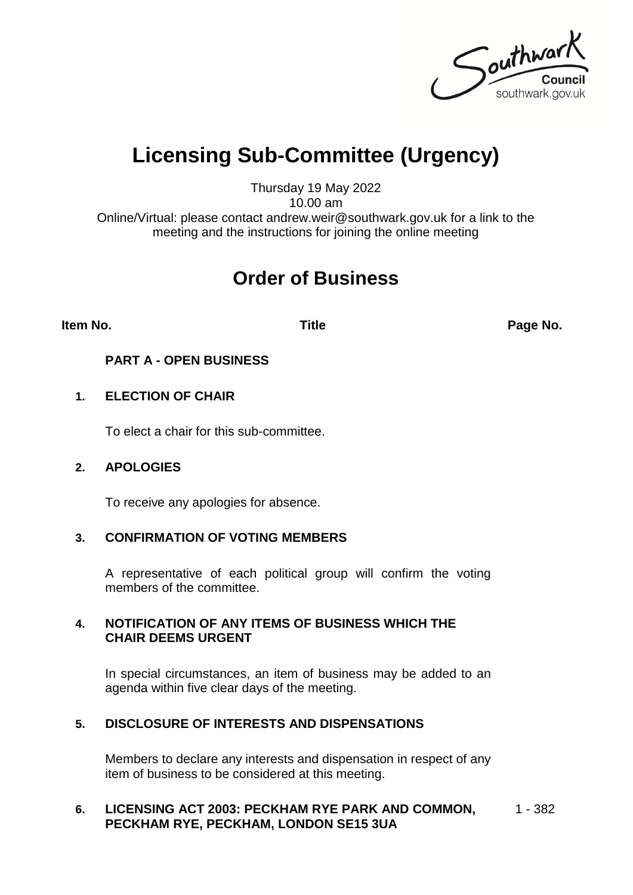Southwark southwark.gov.uk

## **Licensing Sub-Committee (Urgency)**

Thursday 19 May 2022 10.00 am

Online/Virtual: please contact andrew.weir@southwark.gov.uk for a link to the meeting and the instructions for joining the online meeting

### **Order of Business**

**Item No. Title Page No.**

**PART A - OPEN BUSINESS**

#### **1. ELECTION OF CHAIR**

To elect a chair for this sub-committee.

#### **2. APOLOGIES**

To receive any apologies for absence.

#### **3. CONFIRMATION OF VOTING MEMBERS**

A representative of each political group will confirm the voting members of the committee.

#### **4. NOTIFICATION OF ANY ITEMS OF BUSINESS WHICH THE CHAIR DEEMS URGENT**

In special circumstances, an item of business may be added to an agenda within five clear days of the meeting.

### **5. DISCLOSURE OF INTERESTS AND DISPENSATIONS**

Members to declare any interests and dispensation in respect of any item of business to be considered at this meeting.

#### **6. LICENSING ACT 2003: PECKHAM RYE PARK AND COMMON, PECKHAM RYE, PECKHAM, LONDON SE15 3UA** 1 - 382